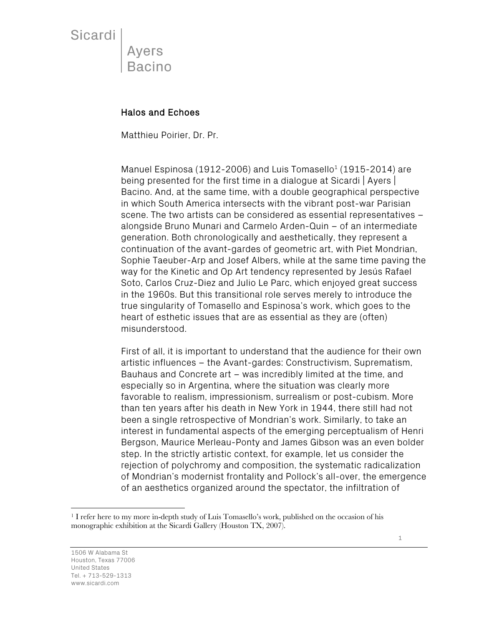Sicardi

Ayers Bacino

#### Halos and Echoes

Matthieu Poirier, Dr. Pr.

Manuel Espinosa (1912-2006) and Luis Tomasello<sup>1</sup> (1915-2014) are being presented for the first time in a dialogue at Sicardi | Ayers | Bacino. And, at the same time, with a double geographical perspective in which South America intersects with the vibrant post-war Parisian scene. The two artists can be considered as essential representatives – alongside Bruno Munari and Carmelo Arden-Quin – of an intermediate generation. Both chronologically and aesthetically, they represent a continuation of the avant-gardes of geometric art, with Piet Mondrian, Sophie Taeuber-Arp and Josef Albers, while at the same time paving the way for the Kinetic and Op Art tendency represented by Jesús Rafael Soto, Carlos Cruz-Diez and Julio Le Parc, which enjoyed great success in the 1960s. But this transitional role serves merely to introduce the true singularity of Tomasello and Espinosa's work, which goes to the heart of esthetic issues that are as essential as they are (often) misunderstood.

First of all, it is important to understand that the audience for their own artistic influences – the Avant-gardes: Constructivism, Suprematism, Bauhaus and Concrete art – was incredibly limited at the time, and especially so in Argentina, where the situation was clearly more favorable to realism, impressionism, surrealism or post-cubism. More than ten years after his death in New York in 1944, there still had not been a single retrospective of Mondrian's work. Similarly, to take an interest in fundamental aspects of the emerging perceptualism of Henri Bergson, Maurice Merleau-Ponty and James Gibson was an even bolder step. In the strictly artistic context, for example, let us consider the rejection of polychromy and composition, the systematic radicalization of Mondrian's modernist frontality and Pollock's all-over, the emergence of an aesthetics organized around the spectator, the infiltration of

<sup>&</sup>lt;sup>1</sup> I refer here to my more in-depth study of Luis Tomasello's work, published on the occasion of his monographic exhibition at the Sicardi Gallery (Houston TX, 2007).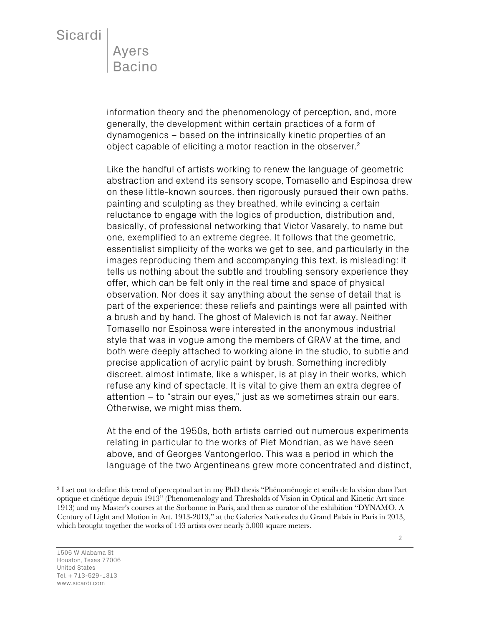information theory and the phenomenology of perception, and, more generally, the development within certain practices of a form of dynamogenics – based on the intrinsically kinetic properties of an object capable of eliciting a motor reaction in the observer.2

Like the handful of artists working to renew the language of geometric abstraction and extend its sensory scope, Tomasello and Espinosa drew on these little-known sources, then rigorously pursued their own paths, painting and sculpting as they breathed, while evincing a certain reluctance to engage with the logics of production, distribution and, basically, of professional networking that Victor Vasarely, to name but one, exemplified to an extreme degree. It follows that the geometric, essentialist simplicity of the works we get to see, and particularly in the images reproducing them and accompanying this text, is misleading: it tells us nothing about the subtle and troubling sensory experience they offer, which can be felt only in the real time and space of physical observation. Nor does it say anything about the sense of detail that is part of the experience: these reliefs and paintings were all painted with a brush and by hand. The ghost of Malevich is not far away. Neither Tomasello nor Espinosa were interested in the anonymous industrial style that was in vogue among the members of GRAV at the time, and both were deeply attached to working alone in the studio, to subtle and precise application of acrylic paint by brush. Something incredibly discreet, almost intimate, like a whisper, is at play in their works, which refuse any kind of spectacle. It is vital to give them an extra degree of attention – to "strain our eyes," just as we sometimes strain our ears. Otherwise, we might miss them.

At the end of the 1950s, both artists carried out numerous experiments relating in particular to the works of Piet Mondrian, as we have seen above, and of Georges Vantongerloo. This was a period in which the language of the two Argentineans grew more concentrated and distinct,

<sup>2</sup> I set out to define this trend of perceptual art in my PhD thesis "Phénoménogie et seuils de la vision dans l'art optique et cinétique depuis 1913" (Phenomenology and Thresholds of Vision in Optical and Kinetic Art since 1913) and my Master's courses at the Sorbonne in Paris, and then as curator of the exhibition "DYNAMO. A Century of Light and Motion in Art. 1913-2013," at the Galeries Nationales du Grand Palais in Paris in 2013, which brought together the works of 143 artists over nearly 5,000 square meters.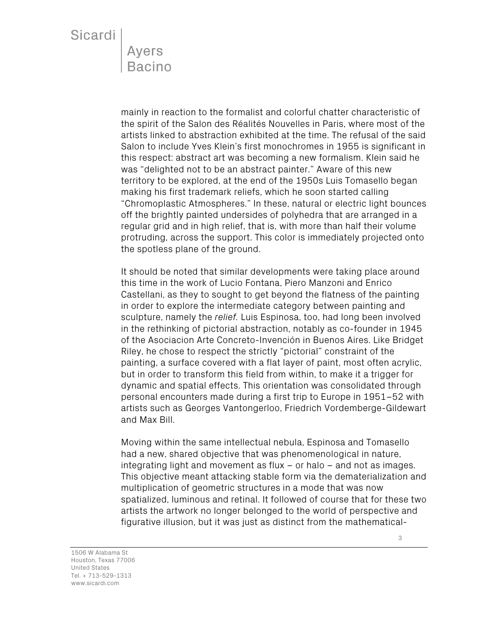mainly in reaction to the formalist and colorful chatter characteristic of the spirit of the Salon des Réalités Nouvelles in Paris, where most of the artists linked to abstraction exhibited at the time. The refusal of the said Salon to include Yves Klein's first monochromes in 1955 is significant in this respect: abstract art was becoming a new formalism. Klein said he was "delighted not to be an abstract painter." Aware of this new territory to be explored, at the end of the 1950s Luis Tomasello began making his first trademark reliefs, which he soon started calling "Chromoplastic Atmospheres." In these, natural or electric light bounces off the brightly painted undersides of polyhedra that are arranged in a regular grid and in high relief, that is, with more than half their volume protruding, across the support. This color is immediately projected onto the spotless plane of the ground.

It should be noted that similar developments were taking place around this time in the work of Lucio Fontana, Piero Manzoni and Enrico Castellani, as they to sought to get beyond the flatness of the painting in order to explore the intermediate category between painting and sculpture, namely the *relief.* Luis Espinosa, too, had long been involved in the rethinking of pictorial abstraction, notably as co-founder in 1945 of the Asociacion Arte Concreto-Invención in Buenos Aires. Like Bridget Riley, he chose to respect the strictly "pictorial" constraint of the painting, a surface covered with a flat layer of paint, most often acrylic, but in order to transform this field from within, to make it a trigger for dynamic and spatial effects. This orientation was consolidated through personal encounters made during a first trip to Europe in 1951–52 with artists such as Georges Vantongerloo, Friedrich Vordemberge-Gildewart and Max Bill.

Moving within the same intellectual nebula, Espinosa and Tomasello had a new, shared objective that was phenomenological in nature, integrating light and movement as flux – or halo – and not as images. This objective meant attacking stable form via the dematerialization and multiplication of geometric structures in a mode that was now spatialized, luminous and retinal. It followed of course that for these two artists the artwork no longer belonged to the world of perspective and figurative illusion, but it was just as distinct from the mathematical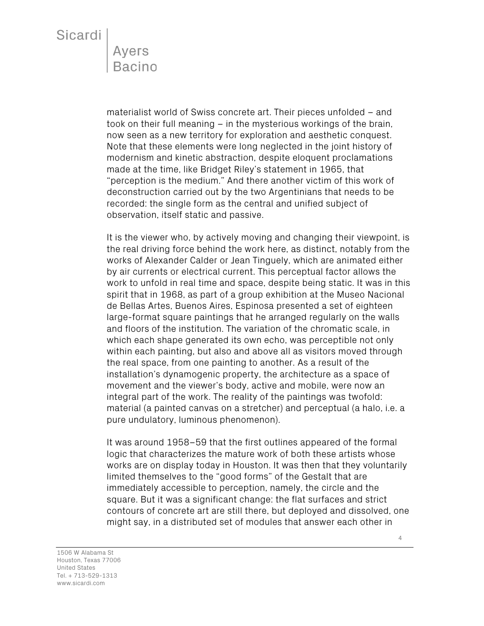materialist world of Swiss concrete art. Their pieces unfolded – and took on their full meaning – in the mysterious workings of the brain, now seen as a new territory for exploration and aesthetic conquest. Note that these elements were long neglected in the joint history of modernism and kinetic abstraction, despite eloquent proclamations made at the time, like Bridget Riley's statement in 1965, that "perception is the medium." And there another victim of this work of deconstruction carried out by the two Argentinians that needs to be recorded: the single form as the central and unified subject of observation, itself static and passive.

It is the viewer who, by actively moving and changing their viewpoint, is the real driving force behind the work here, as distinct, notably from the works of Alexander Calder or Jean Tinguely, which are animated either by air currents or electrical current. This perceptual factor allows the work to unfold in real time and space, despite being static. It was in this spirit that in 1968, as part of a group exhibition at the Museo Nacional de Bellas Artes, Buenos Aires, Espinosa presented a set of eighteen large-format square paintings that he arranged regularly on the walls and floors of the institution. The variation of the chromatic scale, in which each shape generated its own echo, was perceptible not only within each painting, but also and above all as visitors moved through the real space, from one painting to another. As a result of the installation's dynamogenic property, the architecture as a space of movement and the viewer's body, active and mobile, were now an integral part of the work. The reality of the paintings was twofold: material (a painted canvas on a stretcher) and perceptual (a halo, i.e. a pure undulatory, luminous phenomenon).

It was around 1958–59 that the first outlines appeared of the formal logic that characterizes the mature work of both these artists whose works are on display today in Houston. It was then that they voluntarily limited themselves to the "good forms" of the Gestalt that are immediately accessible to perception, namely, the circle and the square. But it was a significant change: the flat surfaces and strict contours of concrete art are still there, but deployed and dissolved, one might say, in a distributed set of modules that answer each other in

1506 W Alabama St Houston, Texas 77006 United States Tel. + 713-529-1313 www.sicardi.com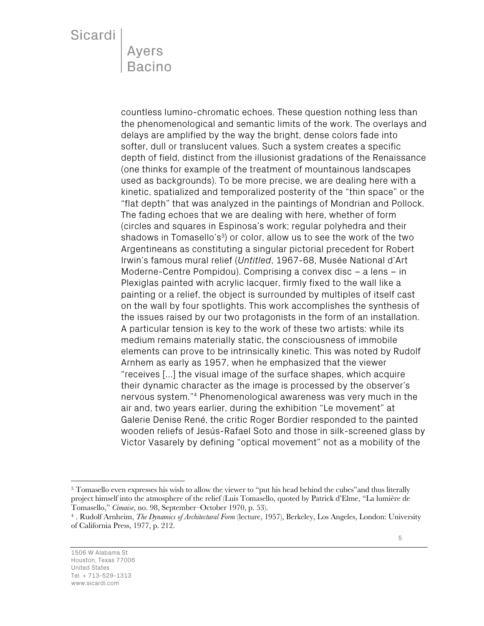countless lumino-chromatic echoes. These question nothing less than the phenomenological and semantic limits of the work. The overlays and delays are amplified by the way the bright, dense colors fade into softer, dull or translucent values. Such a system creates a specific depth of field, distinct from the illusionist gradations of the Renaissance (one thinks for example of the treatment of mountainous landscapes used as backgrounds). To be more precise, we are dealing here with a kinetic, spatialized and temporalized posterity of the "thin space" or the "flat depth" that was analyzed in the paintings of Mondrian and Pollock. The fading echoes that we are dealing with here, whether of form (circles and squares in Espinosa's work; regular polyhedra and their shadows in Tomasello's $3$ ) or color, allow us to see the work of the two Argentineans as constituting a singular pictorial precedent for Robert Irwin's famous mural relief (*Untitled*, 1967-68, Musée National d'Art Moderne-Centre Pompidou). Comprising a convex disc – a lens – in Plexiglas painted with acrylic lacquer, firmly fixed to the wall like a painting or a relief, the object is surrounded by multiples of itself cast on the wall by four spotlights. This work accomplishes the synthesis of the issues raised by our two protagonists in the form of an installation. A particular tension is key to the work of these two artists: while its medium remains materially static, the consciousness of immobile elements can prove to be intrinsically kinetic. This was noted by Rudolf Arnhem as early as 1957, when he emphasized that the viewer "receives […] the visual image of the surface shapes, which acquire their dynamic character as the image is processed by the observer's nervous system."4 Phenomenological awareness was very much in the air and, two years earlier, during the exhibition "Le movement" at Galerie Denise René, the critic Roger Bordier responded to the painted wooden reliefs of Jesús-Rafael Soto and those in silk-screened glass by Victor Vasarely by defining "optical movement" not as a mobility of the

<sup>3</sup> Tomasello even expresses his wish to allow the viewer to "put his head behind the cubes"and thus literally project himself into the atmosphere of the relief (Luis Tomasello, quoted by Patrick d'Elme, "La lumière de Tomasello," *Cimaise*, no. 98, September–October 1970, p. 53).

<sup>4</sup> . Rudolf Arnheim, *The Dynamics of Architectural Form* (lecture, 1957), Berkeley, Los Angeles, London: University of California Press, 1977, p. 212.